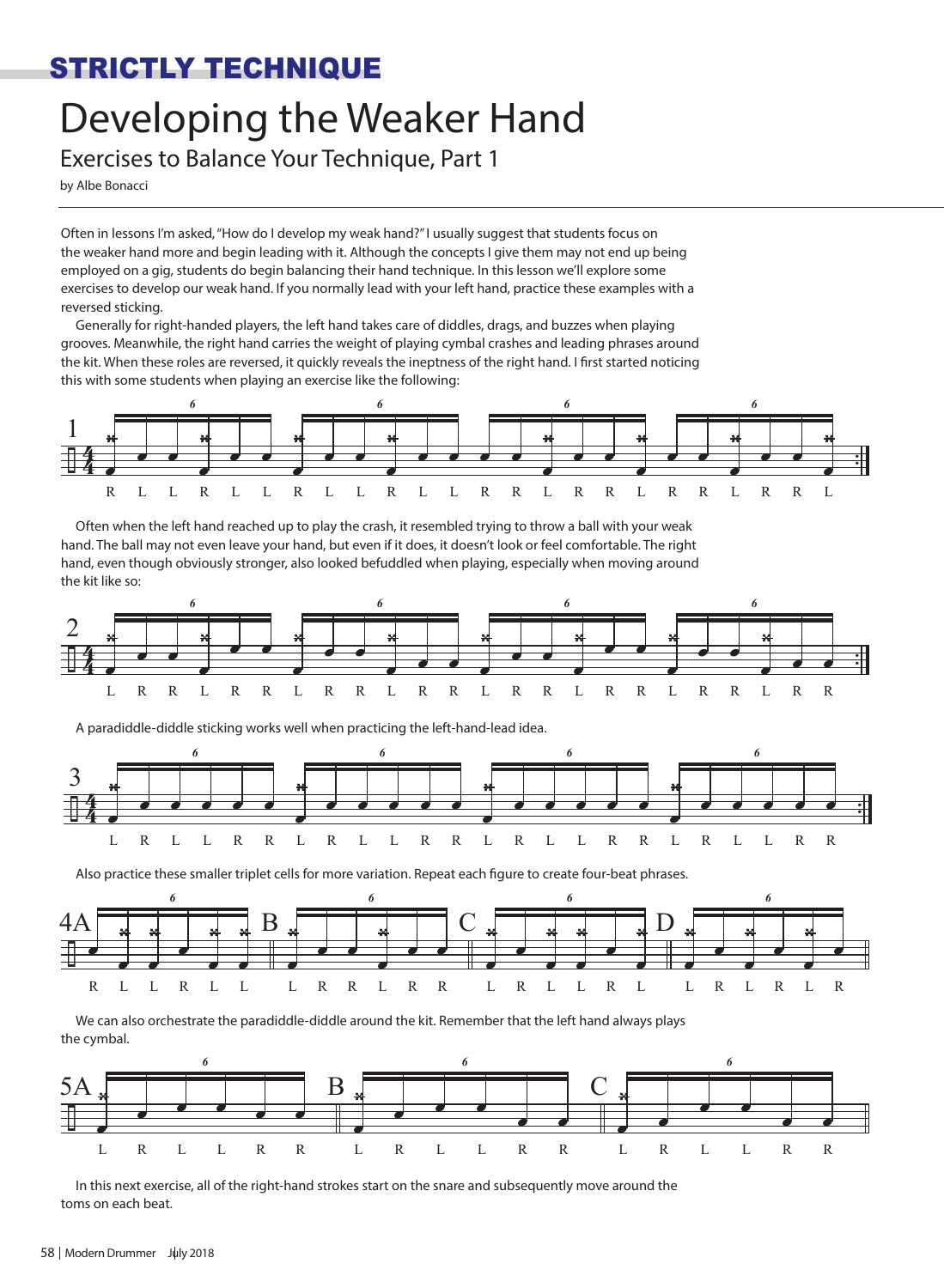## STRICTLY TECHNIQUE

## Developing the Weaker Hand

Exercises to Balance Your Technique, Part 1

by Albe Bonacci

Often in lessons I'm asked, "How do I develop my weak hand?" I usually suggest that students focus on the weaker hand more and begin leading with it. Although the concepts I give them may not end up being employed on a gig, students do begin balancing their hand technique. In this lesson we'll explore some exercises to develop our weak hand. If you normally lead with your left hand, practice these examples with a reversed sticking.

Generally for right-handed players, the left hand takes care of diddles, drags, and buzzes when playing grooves. Meanwhile, the right hand carries the weight of playing cymbal crashes and leading phrases around the kit. When these roles are reversed, it quickly reveals the ineptness of the right hand. I first started noticing this with some students when playing an exercise like the following:







A paradiddle-diddle sticking works well when practicing the left-hand-lead idea.



Also practice these smaller triplet cells for more variation. Repeat each figure to create four-beat phrases.



We can also orchestrate the paradiddle-diddle around the kit. Remember that the left hand always plays the cymbal.



In this next exercise, all of the right-hand strokes start on the snare and subsequently move around the toms on each beat.